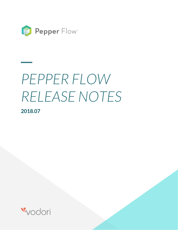

# *PEPPER FLOW RELEASE NOTES* **2018.07**

**\_\_**

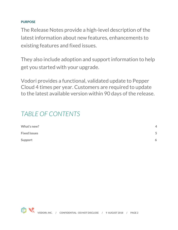### **PURPOSE**

The Release Notes provide a high-level description of the latest information about new features, enhancements to existing features and fixed issues.

They also include adoption and support information to help get you started with your upgrade.

Vodori provides a functional, validated update to Pepper Cloud 4 times per year. Customers are required to update to the latest available version within 90 days of the release.

# *TABLE OF CONTENTS*

| What's new?         | $\overline{\mathcal{A}}$ |
|---------------------|--------------------------|
| <b>Fixed Issues</b> | 5                        |
| Support             | 6                        |

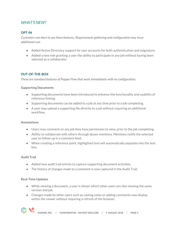# *WHAT'S NEW?*

#### **OPT-IN**

*Customers can elect to use these features. Requirements gathering and configuration may incur additional cost.*

- Added Active Directory support for user accounts for both authentication and esignature.
- Added a new role granting a user the ability to participate in any job without having been selected as a collaborator.

#### **OUT-OF-THE-BOX**

*These are standard features of Pepper Flow that work immediately with no configuration.*

#### **Supporting Documents**

- Supporting documents have been introduced to enhance the functionality and usability of reference linking.
- Supporting documents can be added to a job at any time prior to a job completing.
- A user may upload a supporting file directly to a job without requiring an additional workflow.

#### **Annotations**

- Users may comment on any job they have permission to view, prior to the job completing.
- Ability to collaborate with others through @user mentions. Mentions notify the selected user to follow-up in a comment feed.
- When creating a reference point, highlighted text will automatically populate into the text box.

#### **Audit Trail**

- Added new audit trail entries to capture supporting document activities.
- The history of changes made to a comment is now captured in the Audit Trail.

#### **Real-Time Updates**

- While viewing a document, a user is shown which other users are also viewing the same version and job.
- Changes made by other users such as casting votes or adding comments now display within the viewer without requiring a refresh of the browser.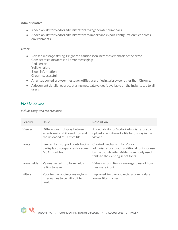#### **Administrative**

- Added ability for Vodori administrators to regenerate thumbnails.
- Added ability for Vodori administrators to import and export configuration files across environments.

#### **Other**

- Revised message styling, Bright red caution icon increases emphasis of the error Consistent colors across all error messaging: Red - error Yellow - alert Blue - information Green - successful
- An unsupported browser message notifies users if using a browser other than Chrome.
- A document details report capturing metadata values is available on the Insights tab to all users.

## *FIXED ISSUES*

*Includes bugs and maintenance*

| <b>Feature</b> | <i><u><b>Issue</b></u></i>                                                                       | <b>Resolution</b>                                                                                                                                                |
|----------------|--------------------------------------------------------------------------------------------------|------------------------------------------------------------------------------------------------------------------------------------------------------------------|
| Viewer         | Differences in display between<br>an automatic PDF rendition and<br>the uploaded MS Office file. | Added ability for Vodori administrators to<br>upload a rendition of a file for display in the<br>viewer.                                                         |
| Fonts          | Limited font support contributing<br>to display discrepancies for some<br>MS Office files.       | Created mechanism for Vodori<br>administrators to add additional fonts for use<br>by the thumbnailer. Added commonly used<br>fonts to the existing set of fonts. |
| Form fields    | Values pasted into form fields<br>failing to save.                                               | Values in form fields save regardless of how<br>they were input.                                                                                                 |
| <b>Filters</b> | Poor text wrapping causing long<br>filter names to be difficult to<br>read.                      | Improved text wrapping to accommodate<br>longer filter names.                                                                                                    |